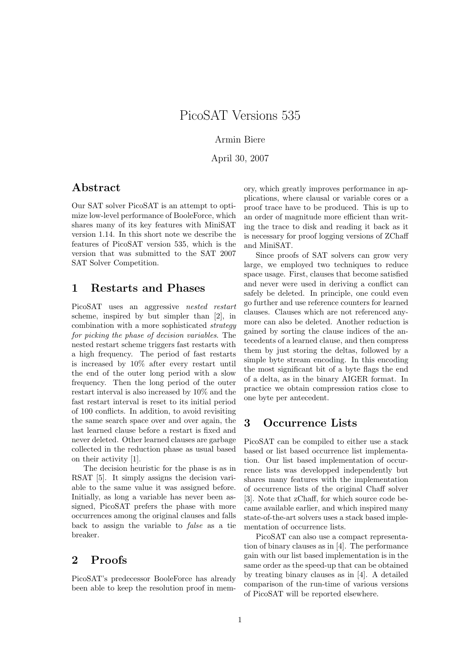#### Armin Biere

April 30, 2007

#### Abstract

Our SAT solver PicoSAT is an attempt to optimize low-level performance of BooleForce, which shares many of its key features with MiniSAT version 1.14. In this short note we describe the features of PicoSAT version 535, which is the version that was submitted to the SAT 2007 SAT Solver Competition.

#### 1 Restarts and Phases

PicoSAT uses an aggressive nested restart scheme, inspired by but simpler than [2], in combination with a more sophisticated strategy for picking the phase of decision variables. The nested restart scheme triggers fast restarts with a high frequency. The period of fast restarts is increased by 10% after every restart until the end of the outer long period with a slow frequency. Then the long period of the outer restart interval is also increased by 10% and the fast restart interval is reset to its initial period of 100 conflicts. In addition, to avoid revisiting the same search space over and over again, the last learned clause before a restart is fixed and never deleted. Other learned clauses are garbage collected in the reduction phase as usual based on their activity [1].

The decision heuristic for the phase is as in RSAT [5]. It simply assigns the decision variable to the same value it was assigned before. Initially, as long a variable has never been assigned, PicoSAT prefers the phase with more occurrences among the original clauses and falls back to assign the variable to false as a tie breaker.

## 2 Proofs

PicoSAT's predecessor BooleForce has already been able to keep the resolution proof in memory, which greatly improves performance in applications, where clausal or variable cores or a proof trace have to be produced. This is up to an order of magnitude more efficient than writing the trace to disk and reading it back as it is necessary for proof logging versions of ZChaff and MiniSAT.

Since proofs of SAT solvers can grow very large, we employed two techniques to reduce space usage. First, clauses that become satisfied and never were used in deriving a conflict can safely be deleted. In principle, one could even go further and use reference counters for learned clauses. Clauses which are not referenced anymore can also be deleted. Another reduction is gained by sorting the clause indices of the antecedents of a learned clause, and then compress them by just storing the deltas, followed by a simple byte stream encoding. In this encoding the most significant bit of a byte flags the end of a delta, as in the binary AIGER format. In practice we obtain compression ratios close to one byte per antecedent.

#### 3 Occurrence Lists

PicoSAT can be compiled to either use a stack based or list based occurrence list implementation. Our list based implementation of occurrence lists was developped independently but shares many features with the implementation of occurrence lists of the original Chaff solver [3]. Note that zChaff, for which source code became available earlier, and which inspired many state-of-the-art solvers uses a stack based implementation of occurrence lists.

PicoSAT can also use a compact representation of binary clauses as in [4]. The performance gain with our list based implementation is in the same order as the speed-up that can be obtained by treating binary clauses as in [4]. A detailed comparison of the run-time of various versions of PicoSAT will be reported elsewhere.